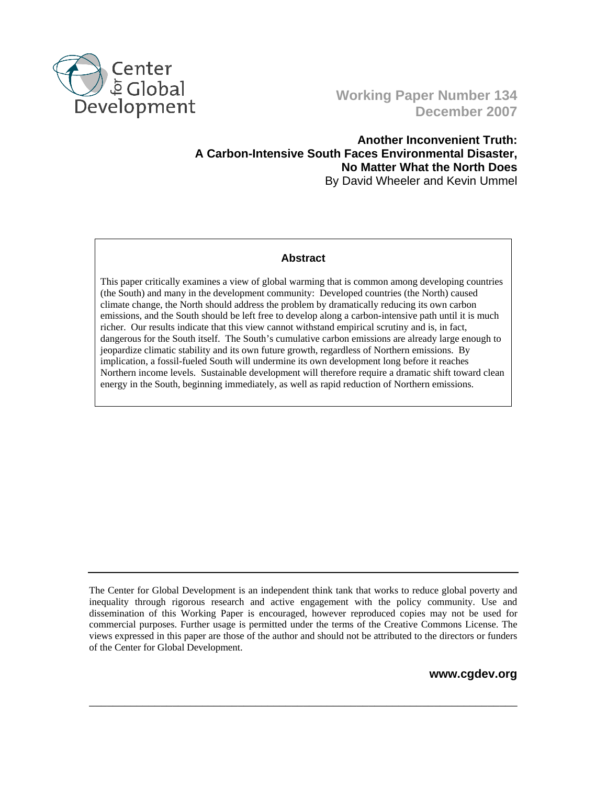

# **Working Paper Number 134 December 2007**

## **Another Inconvenient Truth: A Carbon-Intensive South Faces Environmental Disaster, No Matter What the North Does**  By David Wheeler and Kevin Ummel

## **Abstract**

This paper critically examines a view of global warming that is common among developing countries (the South) and many in the development community: Developed countries (the North) caused climate change, the North should address the problem by dramatically reducing its own carbon emissions, and the South should be left free to develop along a carbon-intensive path until it is much richer. Our results indicate that this view cannot withstand empirical scrutiny and is, in fact, dangerous for the South itself. The South's cumulative carbon emissions are already large enough to jeopardize climatic stability and its own future growth, regardless of Northern emissions. By implication, a fossil-fueled South will undermine its own development long before it reaches Northern income levels. Sustainable development will therefore require a dramatic shift toward clean energy in the South, beginning immediately, as well as rapid reduction of Northern emissions.

\_\_\_\_\_\_\_\_\_\_\_\_\_\_\_\_\_\_\_\_\_\_\_\_\_\_\_\_\_\_\_\_\_\_\_\_\_\_\_\_\_\_\_\_\_\_\_\_\_\_\_\_\_\_\_\_\_\_\_\_\_\_\_\_\_\_\_\_\_\_\_\_

**www.cgdev.org** 

The Center for Global Development is an independent think tank that works to reduce global poverty and inequality through rigorous research and active engagement with the policy community. Use and dissemination of this Working Paper is encouraged, however reproduced copies may not be used for commercial purposes. Further usage is permitted under the terms of the Creative Commons License. The views expressed in this paper are those of the author and should not be attributed to the directors or funders of the Center for Global Development.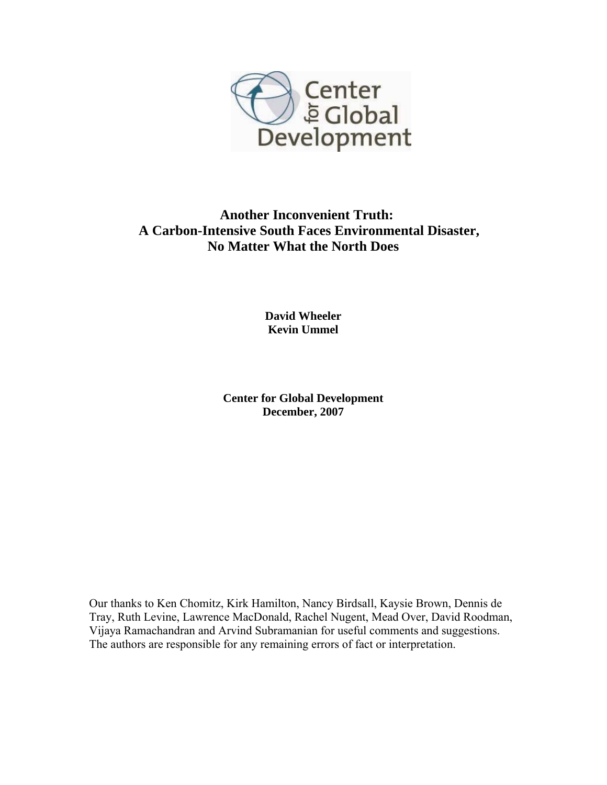

# **Another Inconvenient Truth: A Carbon-Intensive South Faces Environmental Disaster, No Matter What the North Does**

**David Wheeler Kevin Ummel** 

**Center for Global Development December, 2007** 

Our thanks to Ken Chomitz, Kirk Hamilton, Nancy Birdsall, Kaysie Brown, Dennis de Tray, Ruth Levine, Lawrence MacDonald, Rachel Nugent, Mead Over, David Roodman, Vijaya Ramachandran and Arvind Subramanian for useful comments and suggestions. The authors are responsible for any remaining errors of fact or interpretation.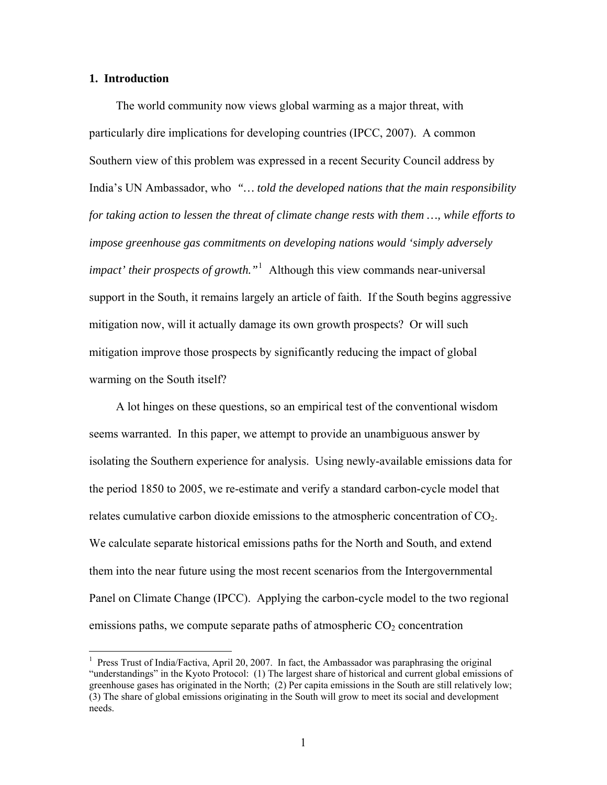### **1. Introduction**

 $\overline{a}$ 

The world community now views global warming as a major threat, with particularly dire implications for developing countries (IPCC, 2007). A common Southern view of this problem was expressed in a recent Security Council address by India's UN Ambassador, who *"… told the developed nations that the main responsibility for taking action to lessen the threat of climate change rests with them …, while efforts to impose greenhouse gas commitments on developing nations would 'simply adversely impact' their prospects of growth."*[1](#page-2-0) Although this view commands near-universal support in the South, it remains largely an article of faith. If the South begins aggressive mitigation now, will it actually damage its own growth prospects? Or will such mitigation improve those prospects by significantly reducing the impact of global warming on the South itself?

A lot hinges on these questions, so an empirical test of the conventional wisdom seems warranted. In this paper, we attempt to provide an unambiguous answer by isolating the Southern experience for analysis. Using newly-available emissions data for the period 1850 to 2005, we re-estimate and verify a standard carbon-cycle model that relates cumulative carbon dioxide emissions to the atmospheric concentration of  $CO<sub>2</sub>$ . We calculate separate historical emissions paths for the North and South, and extend them into the near future using the most recent scenarios from the Intergovernmental Panel on Climate Change (IPCC). Applying the carbon-cycle model to the two regional emissions paths, we compute separate paths of atmospheric  $CO<sub>2</sub>$  concentration

<span id="page-2-0"></span><sup>&</sup>lt;sup>1</sup> Press Trust of India/Factiva, April 20, 2007. In fact, the Ambassador was paraphrasing the original "understandings" in the Kyoto Protocol: (1) The largest share of historical and current global emissions of greenhouse gases has originated in the North; (2) Per capita emissions in the South are still relatively low; (3) The share of global emissions originating in the South will grow to meet its social and development needs.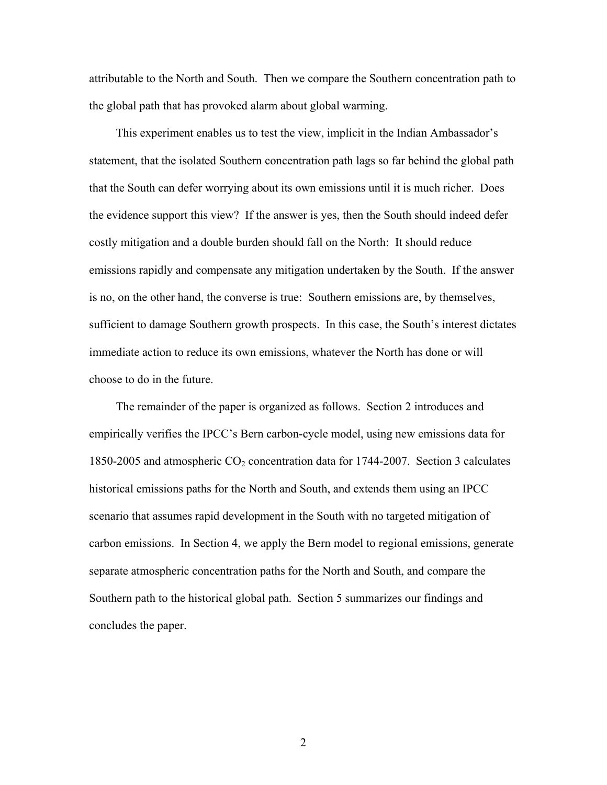attributable to the North and South. Then we compare the Southern concentration path to the global path that has provoked alarm about global warming.

This experiment enables us to test the view, implicit in the Indian Ambassador's statement, that the isolated Southern concentration path lags so far behind the global path that the South can defer worrying about its own emissions until it is much richer. Does the evidence support this view? If the answer is yes, then the South should indeed defer costly mitigation and a double burden should fall on the North: It should reduce emissions rapidly and compensate any mitigation undertaken by the South. If the answer is no, on the other hand, the converse is true: Southern emissions are, by themselves, sufficient to damage Southern growth prospects. In this case, the South's interest dictates immediate action to reduce its own emissions, whatever the North has done or will choose to do in the future.

The remainder of the paper is organized as follows. Section 2 introduces and empirically verifies the IPCC's Bern carbon-cycle model, using new emissions data for 1850-2005 and atmospheric  $CO_2$  concentration data for 1744-2007. Section 3 calculates historical emissions paths for the North and South, and extends them using an IPCC scenario that assumes rapid development in the South with no targeted mitigation of carbon emissions. In Section 4, we apply the Bern model to regional emissions, generate separate atmospheric concentration paths for the North and South, and compare the Southern path to the historical global path. Section 5 summarizes our findings and concludes the paper.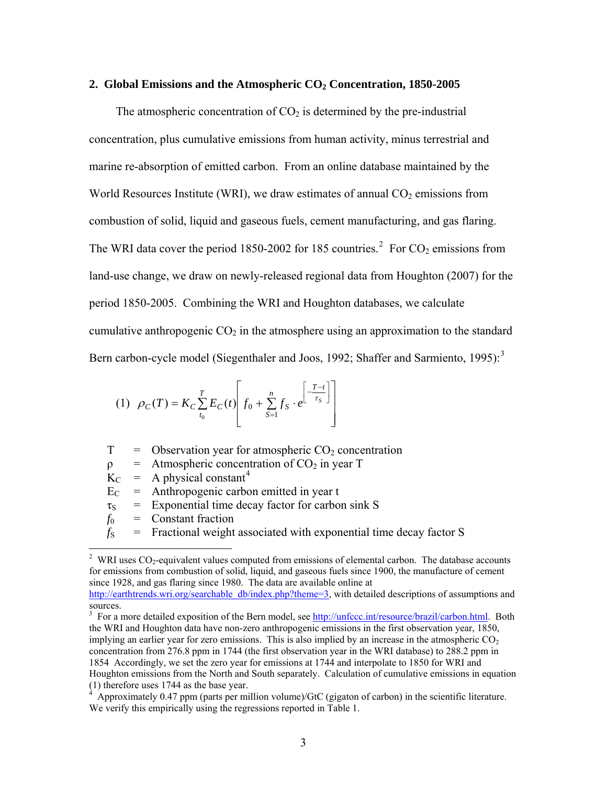#### 2. Global Emissions and the Atmospheric CO<sub>2</sub> Concentration, 1850-2005

The atmospheric concentration of  $CO<sub>2</sub>$  is determined by the pre-industrial concentration, plus cumulative emissions from human activity, minus terrestrial and marine re-absorption of emitted carbon. From an online database maintained by the World Resources Institute (WRI), we draw estimates of annual  $CO<sub>2</sub>$  emissions from combustion of solid, liquid and gaseous fuels, cement manufacturing, and gas flaring. The WRI data cover the period 1850-[2](#page-4-0)002 for 185 countries.<sup>2</sup> For  $CO_2$  emissions from land-use change, we draw on newly-released regional data from Houghton (2007) for the period 1850-2005. Combining the WRI and Houghton databases, we calculate cumulative anthropogenic  $CO<sub>2</sub>$  in the atmosphere using an approximation to the standard Bern carbon-cycle model (Siegenthaler and Joos, 1992; Shaffer and Sarmiento, 1995):<sup>[3](#page-4-1)</sup>

(1) 
$$
\rho_C(T) = K_C \sum_{t_0}^{T} E_C(t) \left[ f_0 + \sum_{S=1}^{n} f_S \cdot e^{-\frac{\left[ - \frac{T - t}{\tau_S} \right]}{\tau_S}} \right]
$$

 $T =$  Observation year for atmospheric  $CO<sub>2</sub>$  concentration

 $\rho$  = Atmospheric concentration of CO<sub>2</sub> in year T

 $K_C$  = A physical constant<sup>[4](#page-4-2)</sup>

 $E_C$  = Anthropogenic carbon emitted in year t

 $\tau_s$  = Exponential time decay factor for carbon sink S

 $f_0$  = Constant fraction

 $f<sub>S</sub>$  = Fractional weight associated with exponential time decay factor S

 $\overline{a}$ 

<span id="page-4-0"></span><sup>&</sup>lt;sup>2</sup> WRI uses  $CO_2$ -equivalent values computed from emissions of elemental carbon. The database accounts for emissions from combustion of solid, liquid, and gaseous fuels since 1900, the manufacture of cement since 1928, and gas flaring since 1980. The data are available online at [http://earthtrends.wri.org/searchable\\_db/index.php?theme=3,](http://earthtrends.wri.org/searchable_db/index.php?theme=3) with detailed descriptions of assumptions and

sources.

<span id="page-4-1"></span><sup>&</sup>lt;sup>3</sup> For a more detailed exposition of the Bern model, see <http://unfccc.int/resource/brazil/carbon.html>. Both the WRI and Houghton data have non-zero anthropogenic emissions in the first observation year, 1850, implying an earlier year for zero emissions. This is also implied by an increase in the atmospheric  $CO<sub>2</sub>$ concentration from 276.8 ppm in 1744 (the first observation year in the WRI database) to 288.2 ppm in 1854 Accordingly, we set the zero year for emissions at 1744 and interpolate to 1850 for WRI and Houghton emissions from the North and South separately. Calculation of cumulative emissions in equation (1) therefore uses 1744 as the base year.

<span id="page-4-2"></span> $4 \overline{A}$  Approximately 0.47 ppm (parts per million volume)/GtC (gigaton of carbon) in the scientific literature. We verify this empirically using the regressions reported in Table 1.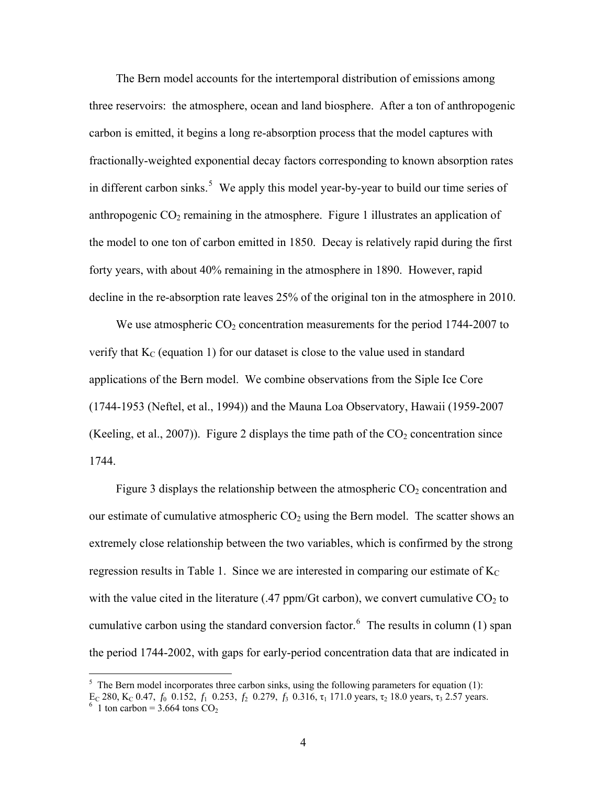The Bern model accounts for the intertemporal distribution of emissions among three reservoirs: the atmosphere, ocean and land biosphere. After a ton of anthropogenic carbon is emitted, it begins a long re-absorption process that the model captures with fractionally-weighted exponential decay factors corresponding to known absorption rates in different carbon sinks.<sup>[5](#page-5-0)</sup> We apply this model year-by-year to build our time series of anthropogenic  $CO<sub>2</sub>$  remaining in the atmosphere. Figure 1 illustrates an application of the model to one ton of carbon emitted in 1850. Decay is relatively rapid during the first forty years, with about 40% remaining in the atmosphere in 1890. However, rapid decline in the re-absorption rate leaves 25% of the original ton in the atmosphere in 2010.

We use atmospheric  $CO<sub>2</sub>$  concentration measurements for the period 1744-2007 to verify that  $K<sub>C</sub>$  (equation 1) for our dataset is close to the value used in standard applications of the Bern model. We combine observations from the Siple Ice Core (1744-1953 (Neftel, et al., 1994)) and the Mauna Loa Observatory, Hawaii (1959-2007 (Keeling, et al., 2007)). Figure 2 displays the time path of the  $CO<sub>2</sub>$  concentration since 1744.

Figure 3 displays the relationship between the atmospheric  $CO<sub>2</sub>$  concentration and our estimate of cumulative atmospheric  $CO<sub>2</sub>$  using the Bern model. The scatter shows an extremely close relationship between the two variables, which is confirmed by the strong regression results in Table 1. Since we are interested in comparing our estimate of  $K_C$ with the value cited in the literature (.47 ppm/Gt carbon), we convert cumulative  $CO<sub>2</sub>$  to cumulative carbon using the standard conversion factor. $6$  The results in column (1) span the period 1744-2002, with gaps for early-period concentration data that are indicated in

 $\overline{a}$ 

<span id="page-5-0"></span> $<sup>5</sup>$  The Bern model incorporates three carbon sinks, using the following parameters for equation (1):</sup>

E<sub>C</sub> 280, K<sub>C</sub> 0.47, *f*<sub>0</sub> 0.152, *f*<sub>1</sub> 0.253, *f*<sub>2</sub> 0.279, *f*<sub>3</sub> 0.316, τ<sub>1</sub> 171.0 years, τ<sub>2</sub> 18.0 years, τ<sub>3</sub> 2.57 years.

<span id="page-5-1"></span> $6$  1 ton carbon = 3.664 tons CO<sub>2</sub>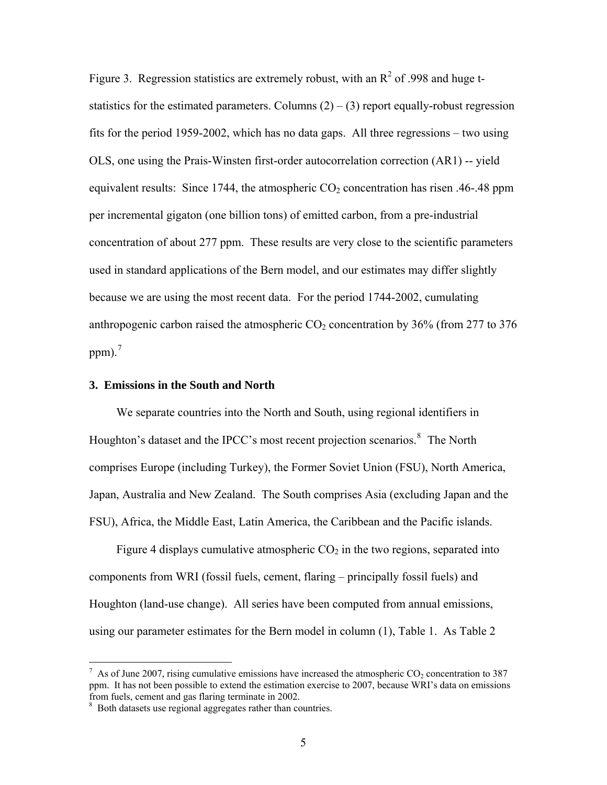Figure 3. Regression statistics are extremely robust, with an  $R^2$  of .998 and huge tstatistics for the estimated parameters. Columns  $(2) - (3)$  report equally-robust regression fits for the period 1959-2002, which has no data gaps. All three regressions – two using OLS, one using the Prais-Winsten first-order autocorrelation correction (AR1) -- yield equivalent results: Since 1744, the atmospheric  $CO<sub>2</sub>$  concentration has risen .46-.48 ppm per incremental gigaton (one billion tons) of emitted carbon, from a pre-industrial concentration of about 277 ppm. These results are very close to the scientific parameters used in standard applications of the Bern model, and our estimates may differ slightly because we are using the most recent data. For the period 1744-2002, cumulating anthropogenic carbon raised the atmospheric  $CO<sub>2</sub>$  concentration by 36% (from 277 to 376 ppm $)^{7}$  $)^{7}$  $)^{7}$ 

#### **3. Emissions in the South and North**

We separate countries into the North and South, using regional identifiers in Houghton's dataset and the IPCC's most recent projection scenarios.<sup>[8](#page-6-1)</sup> The North comprises Europe (including Turkey), the Former Soviet Union (FSU), North America, Japan, Australia and New Zealand. The South comprises Asia (excluding Japan and the FSU), Africa, the Middle East, Latin America, the Caribbean and the Pacific islands.

Figure 4 displays cumulative atmospheric  $CO<sub>2</sub>$  in the two regions, separated into components from WRI (fossil fuels, cement, flaring – principally fossil fuels) and Houghton (land-use change). All series have been computed from annual emissions, using our parameter estimates for the Bern model in column (1), Table 1. As Table 2

 $\overline{a}$ 

<span id="page-6-0"></span> $^7$  As of June 2007, rising cumulative emissions have increased the atmospheric CO<sub>2</sub> concentration to 387 ppm. It has not been possible to extend the estimation exercise to 2007, because WRI's data on emissions from fuels, cement and gas flaring terminate in 2002.

<span id="page-6-1"></span><sup>&</sup>lt;sup>8</sup> Both datasets use regional aggregates rather than countries.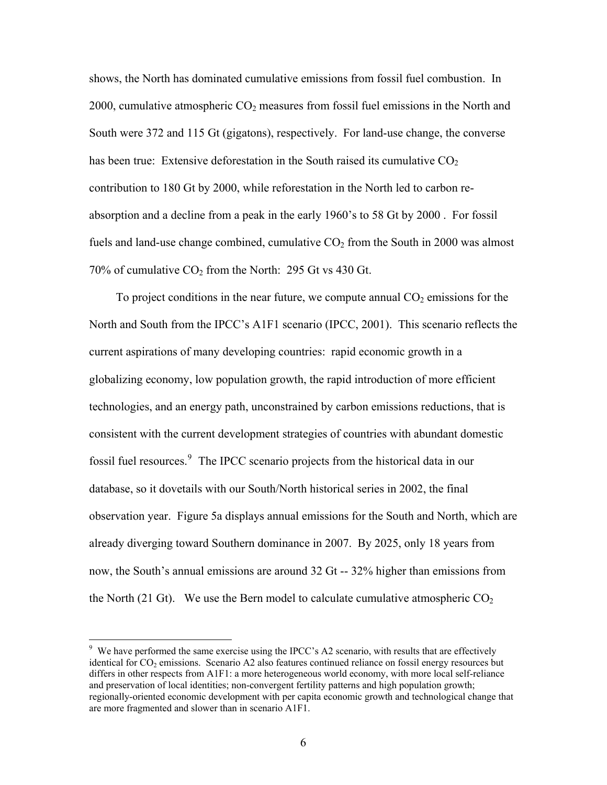shows, the North has dominated cumulative emissions from fossil fuel combustion. In 2000, cumulative atmospheric  $CO<sub>2</sub>$  measures from fossil fuel emissions in the North and South were 372 and 115 Gt (gigatons), respectively. For land-use change, the converse has been true: Extensive deforestation in the South raised its cumulative  $CO<sub>2</sub>$ contribution to 180 Gt by 2000, while reforestation in the North led to carbon reabsorption and a decline from a peak in the early 1960's to 58 Gt by 2000 . For fossil fuels and land-use change combined, cumulative  $CO<sub>2</sub>$  from the South in 2000 was almost 70% of cumulative  $CO<sub>2</sub>$  from the North: 295 Gt vs 430 Gt.

To project conditions in the near future, we compute annual  $CO<sub>2</sub>$  emissions for the North and South from the IPCC's A1F1 scenario (IPCC, 2001). This scenario reflects the current aspirations of many developing countries: rapid economic growth in a globalizing economy, low population growth, the rapid introduction of more efficient technologies, and an energy path, unconstrained by carbon emissions reductions, that is consistent with the current development strategies of countries with abundant domestic fossil fuel resources.<sup>[9](#page-7-0)</sup> The IPCC scenario projects from the historical data in our database, so it dovetails with our South/North historical series in 2002, the final observation year. Figure 5a displays annual emissions for the South and North, which are already diverging toward Southern dominance in 2007. By 2025, only 18 years from now, the South's annual emissions are around 32 Gt -- 32% higher than emissions from the North (21 Gt). We use the Bern model to calculate cumulative atmospheric  $CO<sub>2</sub>$ 

<span id="page-7-0"></span> $9$  We have performed the same exercise using the IPCC's A2 scenario, with results that are effectively identical for  $CO<sub>2</sub>$  emissions. Scenario A2 also features continued reliance on fossil energy resources but differs in other respects from A1F1: a more heterogeneous world economy, with more local self-reliance and preservation of local identities; non-convergent fertility patterns and high population growth; regionally-oriented economic development with per capita economic growth and technological change that are more fragmented and slower than in scenario A1F1.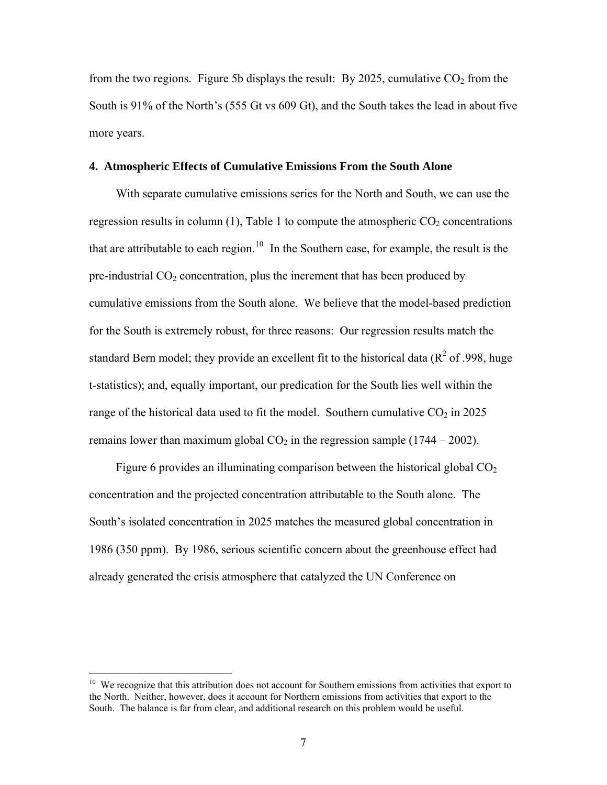from the two regions. Figure 5b displays the result: By 2025, cumulative  $CO<sub>2</sub>$  from the South is 91% of the North's (555 Gt vs 609 Gt), and the South takes the lead in about five more years.

## **4. Atmospheric Effects of Cumulative Emissions From the South Alone**

With separate cumulative emissions series for the North and South, we can use the regression results in column (1), Table 1 to compute the atmospheric  $CO<sub>2</sub>$  concentrations that are attributable to each region.<sup>[10](#page-8-0)</sup> In the Southern case, for example, the result is the pre-industrial  $CO<sub>2</sub>$  concentration, plus the increment that has been produced by cumulative emissions from the South alone. We believe that the model-based prediction for the South is extremely robust, for three reasons: Our regression results match the standard Bern model; they provide an excellent fit to the historical data ( $\mathbb{R}^2$  of .998, huge t-statistics); and, equally important, our predication for the South lies well within the range of the historical data used to fit the model. Southern cumulative  $CO<sub>2</sub>$  in 2025 remains lower than maximum global  $CO<sub>2</sub>$  in the regression sample (1744 – 2002).

Figure 6 provides an illuminating comparison between the historical global  $CO<sub>2</sub>$ concentration and the projected concentration attributable to the South alone. The South's isolated concentration in 2025 matches the measured global concentration in 1986 (350 ppm). By 1986, serious scientific concern about the greenhouse effect had already generated the crisis atmosphere that catalyzed the UN Conference on

<span id="page-8-0"></span><sup>&</sup>lt;sup>10</sup> We recognize that this attribution does not account for Southern emissions from activities that export to the North. Neither, however, does it account for Northern emissions from activities that export to the South. The balance is far from clear, and additional research on this problem would be useful.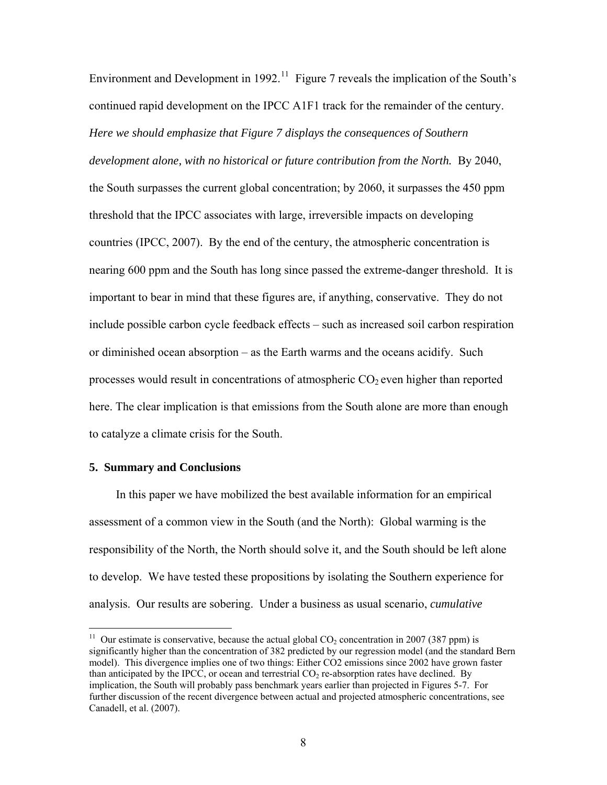Environment and Development in 1992.<sup>[11](#page-9-0)</sup> Figure 7 reveals the implication of the South's continued rapid development on the IPCC A1F1 track for the remainder of the century. *Here we should emphasize that Figure 7 displays the consequences of Southern development alone, with no historical or future contribution from the North.* By 2040, the South surpasses the current global concentration; by 2060, it surpasses the 450 ppm threshold that the IPCC associates with large, irreversible impacts on developing countries (IPCC, 2007). By the end of the century, the atmospheric concentration is nearing 600 ppm and the South has long since passed the extreme-danger threshold. It is important to bear in mind that these figures are, if anything, conservative. They do not include possible carbon cycle feedback effects – such as increased soil carbon respiration or diminished ocean absorption – as the Earth warms and the oceans acidify. Such processes would result in concentrations of atmospheric  $CO<sub>2</sub>$  even higher than reported here. The clear implication is that emissions from the South alone are more than enough to catalyze a climate crisis for the South.

#### **5. Summary and Conclusions**

 $\overline{a}$ 

In this paper we have mobilized the best available information for an empirical assessment of a common view in the South (and the North): Global warming is the responsibility of the North, the North should solve it, and the South should be left alone to develop. We have tested these propositions by isolating the Southern experience for analysis. Our results are sobering. Under a business as usual scenario, *cumulative*

<span id="page-9-0"></span><sup>&</sup>lt;sup>11</sup> Our estimate is conservative, because the actual global  $CO<sub>2</sub>$  concentration in 2007 (387 ppm) is significantly higher than the concentration of 382 predicted by our regression model (and the standard Bern model). This divergence implies one of two things: Either CO2 emissions since 2002 have grown faster than anticipated by the IPCC, or ocean and terrestrial  $CO<sub>2</sub>$  re-absorption rates have declined. By implication, the South will probably pass benchmark years earlier than projected in Figures 5-7. For further discussion of the recent divergence between actual and projected atmospheric concentrations, see Canadell, et al. (2007).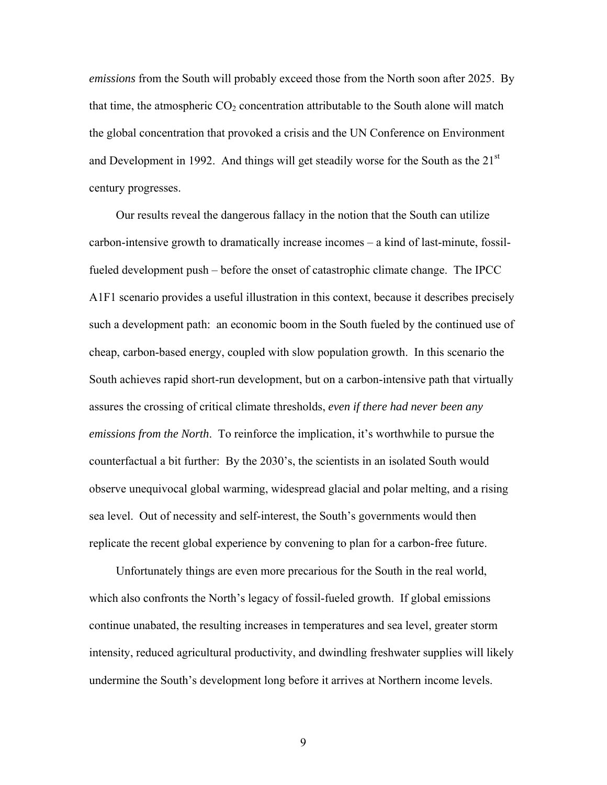*emissions* from the South will probably exceed those from the North soon after 2025. By that time, the atmospheric  $CO<sub>2</sub>$  concentration attributable to the South alone will match the global concentration that provoked a crisis and the UN Conference on Environment and Development in 1992. And things will get steadily worse for the South as the 21<sup>st</sup> century progresses.

Our results reveal the dangerous fallacy in the notion that the South can utilize carbon-intensive growth to dramatically increase incomes – a kind of last-minute, fossilfueled development push – before the onset of catastrophic climate change. The IPCC A1F1 scenario provides a useful illustration in this context, because it describes precisely such a development path: an economic boom in the South fueled by the continued use of cheap, carbon-based energy, coupled with slow population growth. In this scenario the South achieves rapid short-run development, but on a carbon-intensive path that virtually assures the crossing of critical climate thresholds, *even if there had never been any emissions from the North*. To reinforce the implication, it's worthwhile to pursue the counterfactual a bit further: By the 2030's, the scientists in an isolated South would observe unequivocal global warming, widespread glacial and polar melting, and a rising sea level. Out of necessity and self-interest, the South's governments would then replicate the recent global experience by convening to plan for a carbon-free future.

Unfortunately things are even more precarious for the South in the real world, which also confronts the North's legacy of fossil-fueled growth. If global emissions continue unabated, the resulting increases in temperatures and sea level, greater storm intensity, reduced agricultural productivity, and dwindling freshwater supplies will likely undermine the South's development long before it arrives at Northern income levels.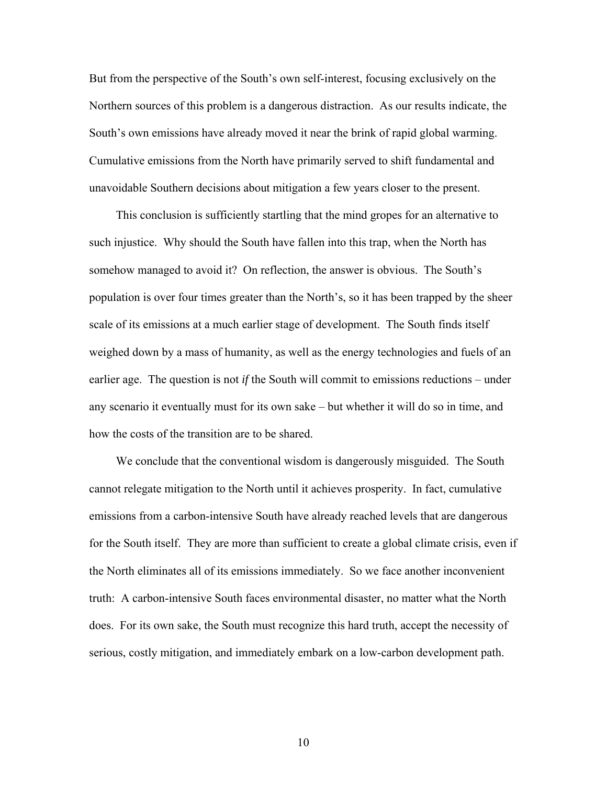But from the perspective of the South's own self-interest, focusing exclusively on the Northern sources of this problem is a dangerous distraction. As our results indicate, the South's own emissions have already moved it near the brink of rapid global warming. Cumulative emissions from the North have primarily served to shift fundamental and unavoidable Southern decisions about mitigation a few years closer to the present.

This conclusion is sufficiently startling that the mind gropes for an alternative to such injustice. Why should the South have fallen into this trap, when the North has somehow managed to avoid it? On reflection, the answer is obvious. The South's population is over four times greater than the North's, so it has been trapped by the sheer scale of its emissions at a much earlier stage of development. The South finds itself weighed down by a mass of humanity, as well as the energy technologies and fuels of an earlier age. The question is not *if* the South will commit to emissions reductions – under any scenario it eventually must for its own sake – but whether it will do so in time, and how the costs of the transition are to be shared.

We conclude that the conventional wisdom is dangerously misguided. The South cannot relegate mitigation to the North until it achieves prosperity. In fact, cumulative emissions from a carbon-intensive South have already reached levels that are dangerous for the South itself. They are more than sufficient to create a global climate crisis, even if the North eliminates all of its emissions immediately. So we face another inconvenient truth: A carbon-intensive South faces environmental disaster, no matter what the North does. For its own sake, the South must recognize this hard truth, accept the necessity of serious, costly mitigation, and immediately embark on a low-carbon development path.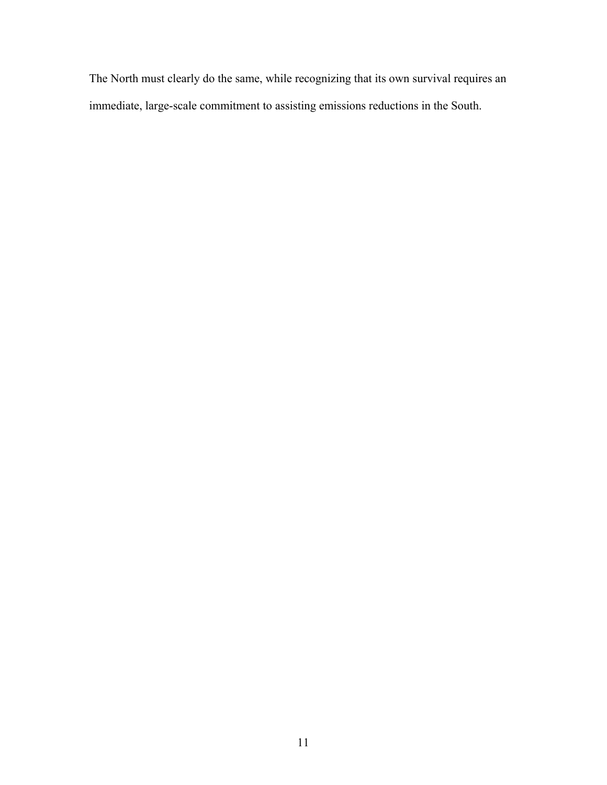The North must clearly do the same, while recognizing that its own survival requires an immediate, large-scale commitment to assisting emissions reductions in the South.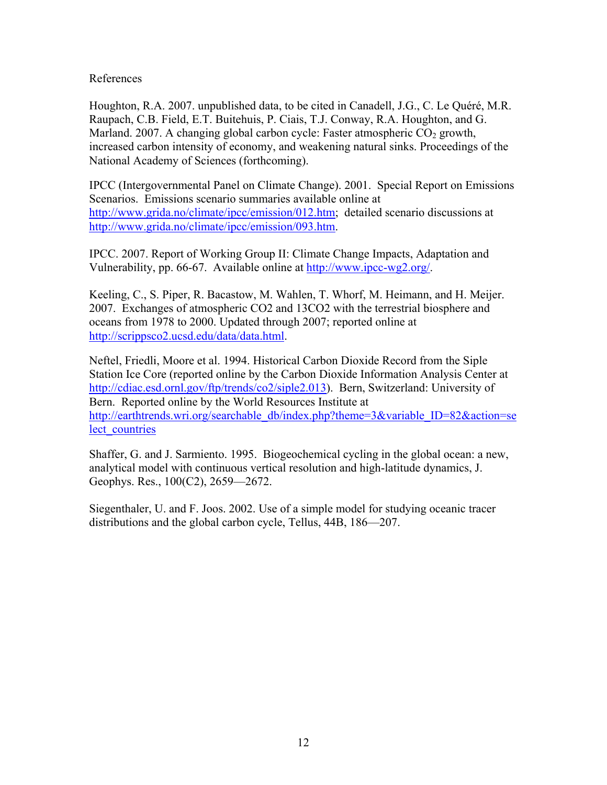References

Houghton, R.A. 2007. unpublished data, to be cited in Canadell, J.G., C. Le Quéré, M.R. Raupach, C.B. Field, E.T. Buitehuis, P. Ciais, T.J. Conway, R.A. Houghton, and G. Marland. 2007. A changing global carbon cycle: Faster atmospheric CO<sub>2</sub> growth, increased carbon intensity of economy, and weakening natural sinks. Proceedings of the National Academy of Sciences (forthcoming).

IPCC (Intergovernmental Panel on Climate Change). 2001. Special Report on Emissions Scenarios. Emissions scenario summaries available online at <http://www.grida.no/climate/ipcc/emission/012.htm>; detailed scenario discussions at <http://www.grida.no/climate/ipcc/emission/093.htm>.

IPCC. 2007. Report of Working Group II: Climate Change Impacts, Adaptation and Vulnerability, pp. 66-67. Available online at [http://www.ipcc-wg2.org/.](http://www.ipcc-wg2.org/)

Keeling, C., S. Piper, R. Bacastow, M. Wahlen, T. Whorf, M. Heimann, and H. Meijer. 2007. Exchanges of atmospheric CO2 and 13CO2 with the terrestrial biosphere and oceans from 1978 to 2000. Updated through 2007; reported online at [http://scrippsco2.ucsd.edu/data/data.html.](http://scrippsco2.ucsd.edu/data/data.html)

Neftel, Friedli, Moore et al. 1994. Historical Carbon Dioxide Record from the Siple Station Ice Core (reported online by the Carbon Dioxide Information Analysis Center at <http://cdiac.esd.ornl.gov/ftp/trends/co2/siple2.013>). Bern, Switzerland: University of Bern. Reported online by the World Resources Institute at [http://earthtrends.wri.org/searchable\\_db/index.php?theme=3&variable\\_ID=82&action=se](http://earthtrends.wri.org/searchable_db/index.php?theme=3&variable_ID=82&action=select_countries) [lect\\_countries](http://earthtrends.wri.org/searchable_db/index.php?theme=3&variable_ID=82&action=select_countries)

Shaffer, G. and J. Sarmiento. 1995. Biogeochemical cycling in the global ocean: a new, analytical model with continuous vertical resolution and high-latitude dynamics, J. Geophys. Res., 100(C2), 2659—2672.

Siegenthaler, U. and F. Joos. 2002. Use of a simple model for studying oceanic tracer distributions and the global carbon cycle, Tellus, 44B, 186—207.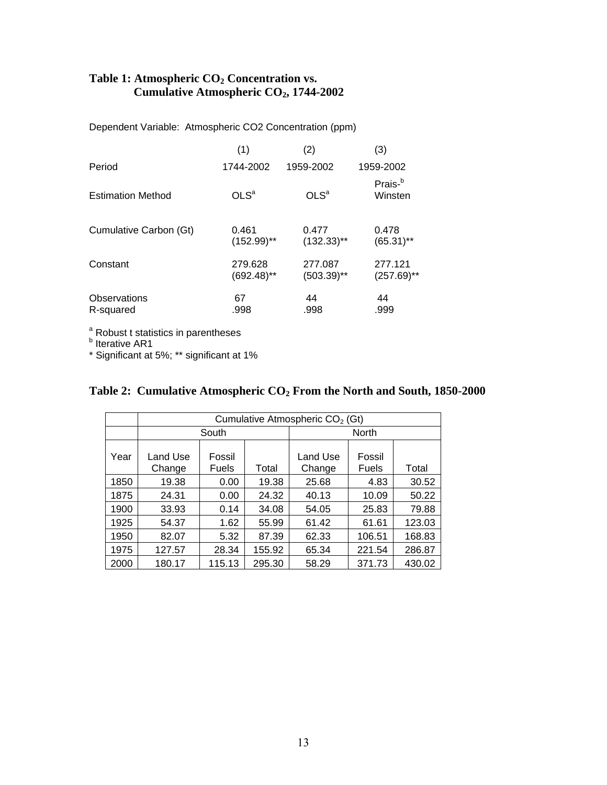## Table 1: Atmospheric CO<sub>2</sub> Concentration vs.  **Cumulative Atmospheric CO2, 1744-2002**

Dependent Variable: Atmospheric CO2 Concentration (ppm)

|                          | (1)              | (2)              | (3)                            |
|--------------------------|------------------|------------------|--------------------------------|
| Period                   | 1744-2002        | 1959-2002        | 1959-2002                      |
| <b>Estimation Method</b> | OLS <sup>a</sup> | OLS <sup>a</sup> | Prais- <sup>b</sup><br>Winsten |
| Cumulative Carbon (Gt)   | 0.461            | 0.477            | 0.478                          |
|                          | $(152.99)$ **    | $(132.33)$ **    | $(65.31)$ **                   |
| Constant                 | 279.628          | 277.087          | 277.121                        |
|                          | $(692.48)$ **    | $(503.39)$ **    | $(257.69)$ **                  |
| Observations             | 67               | 44               | 44                             |
| R-squared                | .998             | .998             | .999                           |

<sup>a</sup> Robust t statistics in parentheses<br><sup>b</sup> Iterative AR1

\* Significant at 5%; \*\* significant at 1%

|      | Cumulative Atmospheric CO <sub>2</sub> (Gt) |                 |        |                    |                 |        |  |  |
|------|---------------------------------------------|-----------------|--------|--------------------|-----------------|--------|--|--|
|      | South                                       |                 |        | North              |                 |        |  |  |
| Year | Land Use<br>Change                          | Fossil<br>Fuels | Total  | Land Use<br>Change | Fossil<br>Fuels | Total  |  |  |
| 1850 | 19.38                                       | 0.00            | 19.38  | 25.68              | 4.83            | 30.52  |  |  |
| 1875 | 24.31                                       | 0.00            | 24.32  | 40.13              | 10.09           | 50.22  |  |  |
| 1900 | 33.93                                       | 0.14            | 34.08  | 54.05              | 25.83           | 79.88  |  |  |
| 1925 | 54.37                                       | 1.62            | 55.99  | 61.42              | 61.61           | 123.03 |  |  |
| 1950 | 82.07                                       | 5.32            | 87.39  | 62.33              | 106.51          | 168.83 |  |  |
| 1975 | 127.57                                      | 28.34           | 155.92 | 65.34              | 221.54          | 286.87 |  |  |
| 2000 | 180.17                                      | 115.13          | 295.30 | 58.29              | 371.73          | 430.02 |  |  |

# **Table 2: Cumulative Atmospheric CO2 From the North and South, 1850-2000**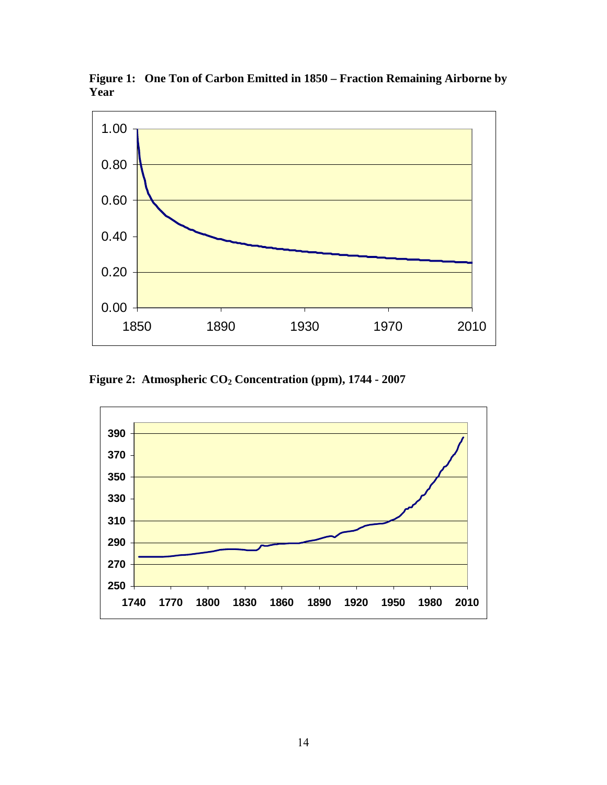

**Figure 1: One Ton of Carbon Emitted in 1850 – Fraction Remaining Airborne by Year** 

**Figure 2: Atmospheric CO2 Concentration (ppm), 1744 - 2007** 

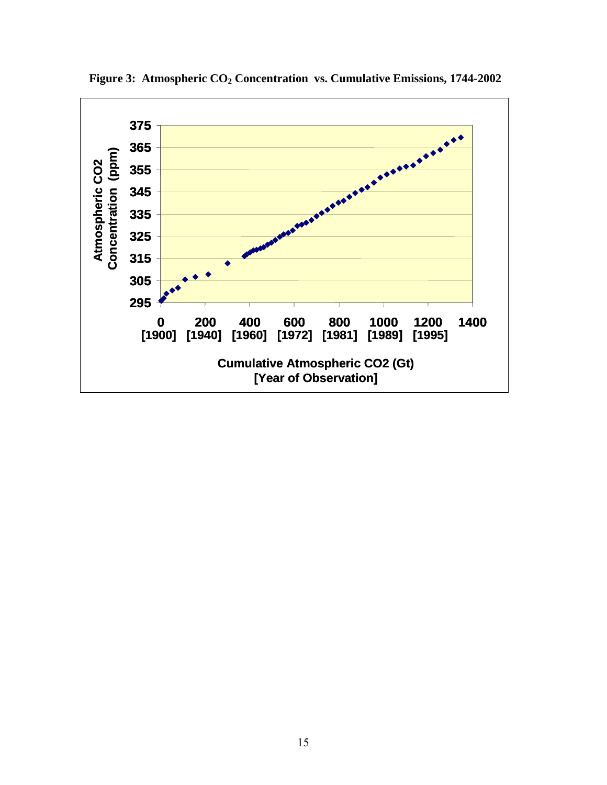

**Figure 3: Atmospheric CO2 Concentration vs. Cumulative Emissions, 1744-2002**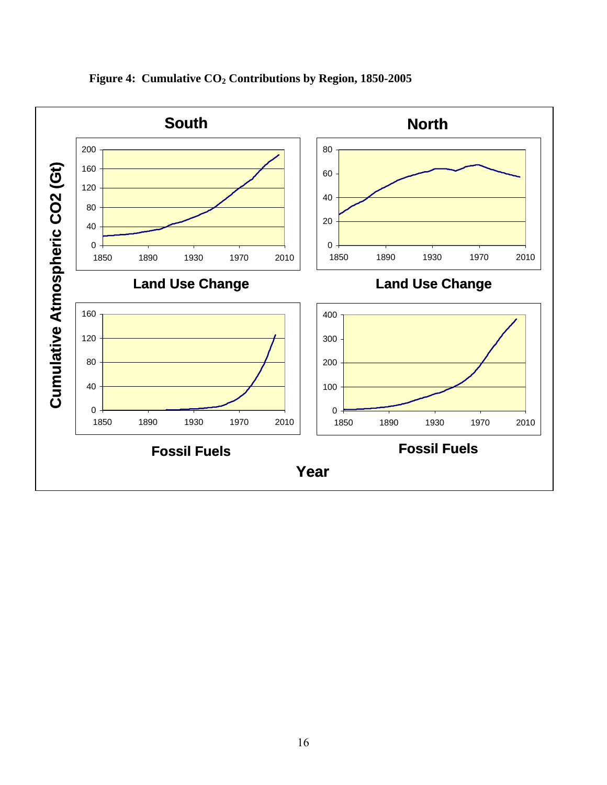

Figure 4: Cumulative CO<sub>2</sub> Contributions by Region, 1850-2005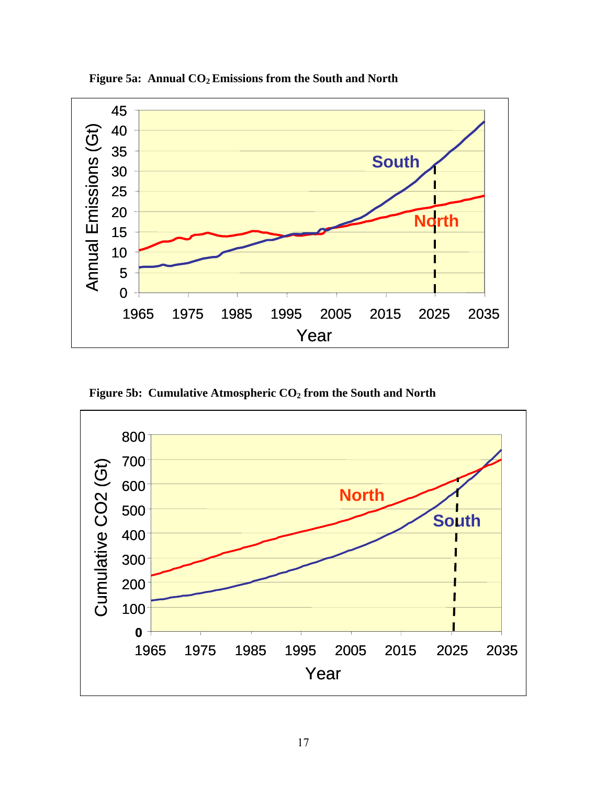

Figure 5a: Annual CO<sub>2</sub> Emissions from the South and North

Figure 5b: Cumulative Atmospheric CO<sub>2</sub> from the South and North